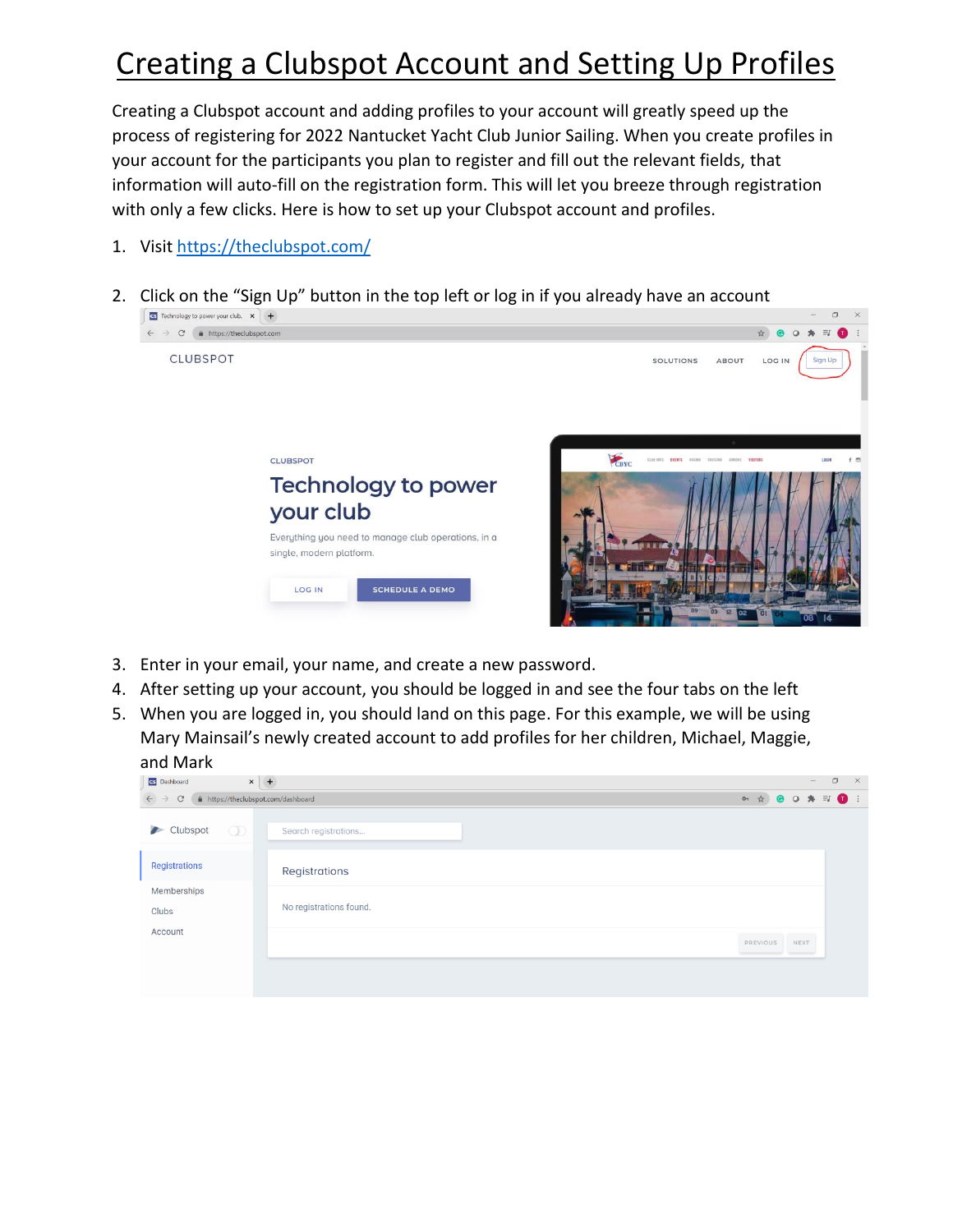## Creating a Clubspot Account and Setting Up Profiles

Creating a Clubspot account and adding profiles to your account will greatly speed up the process of registering for 2022 Nantucket Yacht Club Junior Sailing. When you create profiles in your account for the participants you plan to register and fill out the relevant fields, that information will auto-fill on the registration form. This will let you breeze through registration with only a few clicks. Here is how to set up your Clubspot account and profiles.

- 1. Visi[t https://theclubspot.com/](https://theclubspot.com/)
- 2. Click on the "Sign Up" button in the top left or log in if you already have an account



- 3. Enter in your email, your name, and create a new password.
- 4. After setting up your account, you should be logged in and see the four tabs on the left
- 5. When you are logged in, you should land on this page. For this example, we will be using Mary Mainsail's newly created account to add profiles for her children, Michael, Maggie, and Mark

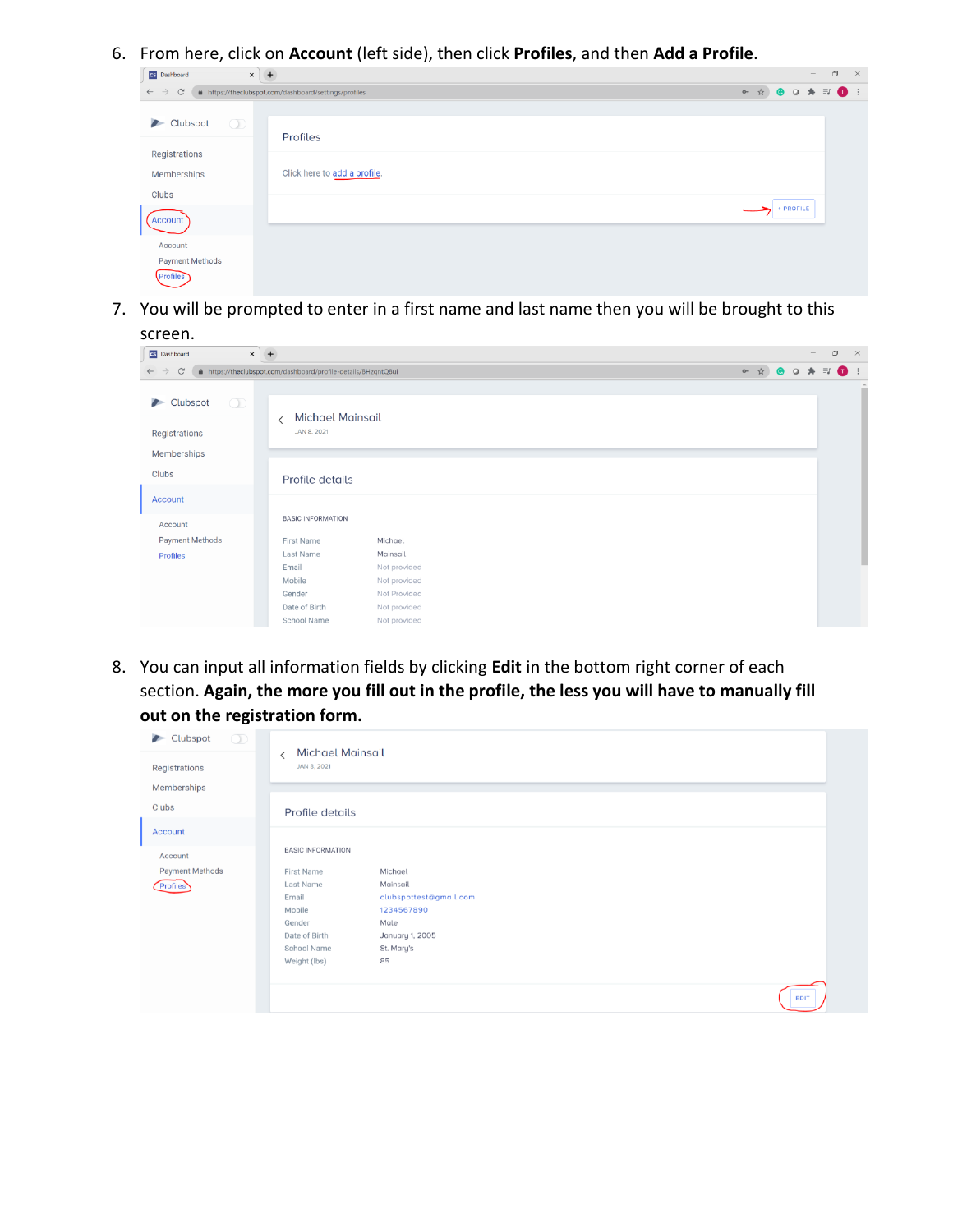6. From here, click on **Account** (left side), then click **Profiles**, and then **Add a Profile**.

| cs Dashboard<br>$\boldsymbol{\times}$         | $+$                                                   | $\Box$<br>$\mathsf{X}% _{0}$<br>$\hspace{0.1mm}-\hspace{0.1mm}$ |
|-----------------------------------------------|-------------------------------------------------------|-----------------------------------------------------------------|
| $\mathcal{C}$<br>$\leftarrow$ $\rightarrow$   | A https://theclubspot.com/dashboard/settings/profiles | ○ ☆ ● ○ ★ El ● :                                                |
| $\circled{1}$<br>Clubspot                     | <b>Profiles</b>                                       |                                                                 |
| Registrations<br>Memberships                  | Click here to add a profile.                          |                                                                 |
| Clubs<br>Account                              |                                                       | + PROFILE                                                       |
| Account<br><b>Payment Methods</b><br>Profiles |                                                       |                                                                 |

7. You will be prompted to enter in a first name and last name then you will be brought to this

| screen.                                     |                                                                |              |  |     |                      |                          |            |             |
|---------------------------------------------|----------------------------------------------------------------|--------------|--|-----|----------------------|--------------------------|------------|-------------|
| <b>CS</b> Dashboard                         | $\times$ +                                                     |              |  |     |                      | $\overline{\phantom{a}}$ | $\Box$     | $\times$    |
| $\mathcal{C}$<br>$\leftarrow$ $\rightarrow$ | A https://theclubspot.com/dashboard/profile-details/BHzqntQ8ui |              |  | 어 ☆ | $\bullet$<br>$\circ$ | 舟                        | $\equiv$ r | $\bullet$ : |
| $\circledcirc$<br>Clubspot                  | <b>Michael Mainsail</b><br>≺                                   |              |  |     |                      |                          |            |             |
| Registrations                               | JAN 8, 2021                                                    |              |  |     |                      |                          |            |             |
| Memberships                                 |                                                                |              |  |     |                      |                          |            |             |
| Clubs                                       | Profile details                                                |              |  |     |                      |                          |            |             |
| <b>Account</b>                              |                                                                |              |  |     |                      |                          |            |             |
| Account                                     | <b>BASIC INFORMATION</b>                                       |              |  |     |                      |                          |            |             |
| Payment Methods                             | First Name                                                     | Michael      |  |     |                      |                          |            |             |
| <b>Profiles</b>                             | Last Name                                                      | Mainsail     |  |     |                      |                          |            |             |
|                                             | Email                                                          | Not provided |  |     |                      |                          |            |             |
|                                             | Mobile                                                         | Not provided |  |     |                      |                          |            |             |
|                                             | Gender                                                         | Not Provided |  |     |                      |                          |            |             |
|                                             | Date of Birth                                                  | Not provided |  |     |                      |                          |            |             |
|                                             | <b>School Name</b>                                             | Not provided |  |     |                      |                          |            |             |

8. You can input all information fields by clicking **Edit** in the bottom right corner of each section. **Again, the more you fill out in the profile, the less you will have to manually fill out on the registration form.**

| $\circledcirc$<br>Clubspot | <b>Michael Mainsail</b>                                 |                        |
|----------------------------|---------------------------------------------------------|------------------------|
| Registrations              | $\overline{\left\langle \right\rangle }$<br>JAN 8, 2021 |                        |
| Memberships                |                                                         |                        |
|                            |                                                         |                        |
| Clubs                      | Profile details                                         |                        |
| Account                    |                                                         |                        |
|                            | <b>BASIC INFORMATION</b>                                |                        |
| Account                    |                                                         |                        |
| <b>Payment Methods</b>     | <b>First Name</b>                                       | Michael                |
| <b>Profiles</b>            | Last Name                                               | Mainsail               |
|                            | Email                                                   | clubspottest@gmail.com |
|                            | Mobile                                                  | 1234567890             |
|                            | Gender                                                  | Male                   |
|                            | Date of Birth                                           | January 1, 2005        |
|                            | School Name                                             | St. Mary's             |
|                            | Weight (lbs)                                            | 85                     |
|                            |                                                         |                        |
|                            |                                                         | <b>EDIT</b>            |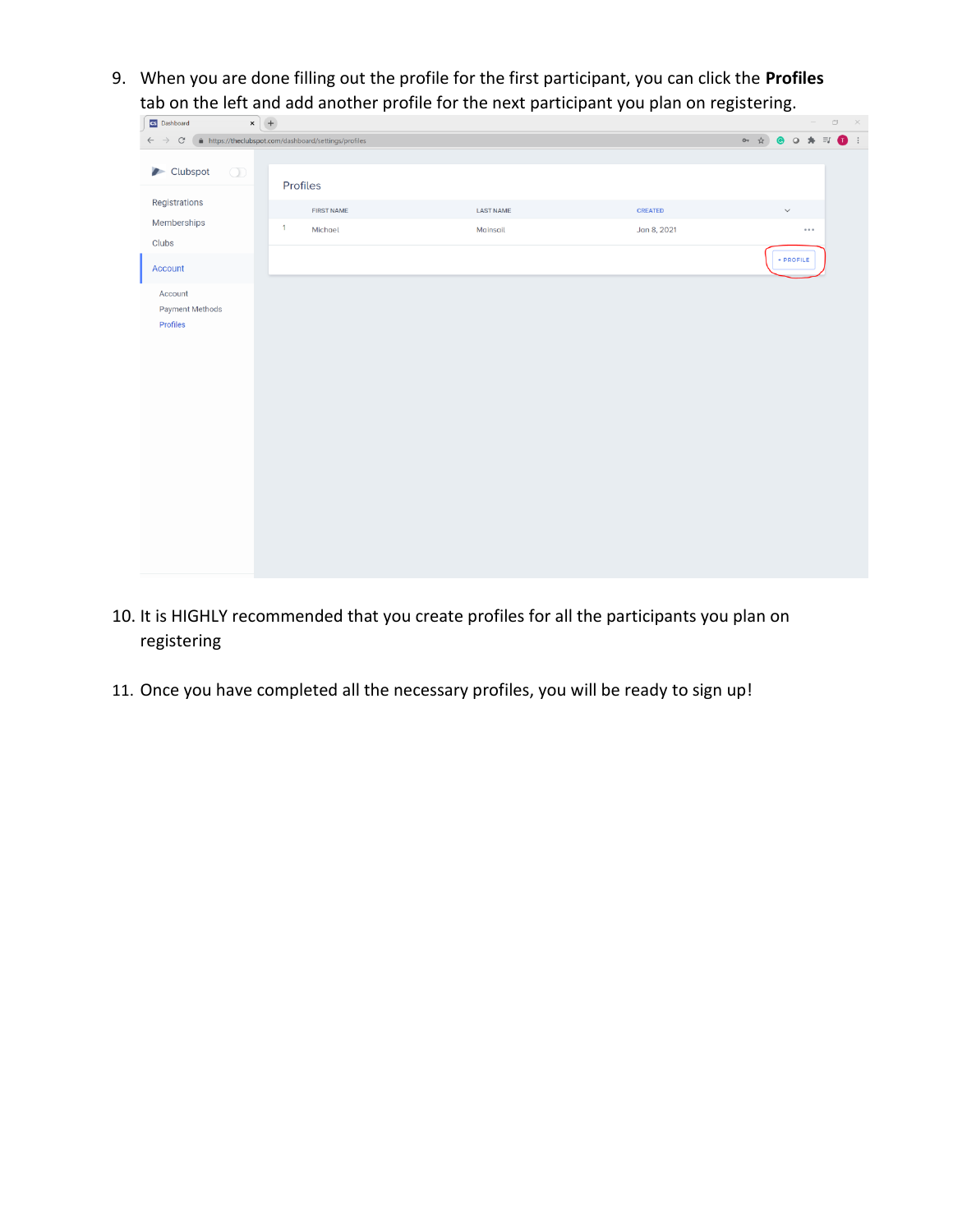9. When you are done filling out the profile for the first participant, you can click the **Profiles** tab on the left and add another profile for the next participant you plan on registering.

| $x +$<br>CS Dashboard                  |                                                       |                  |             | $ \qquad \qquad \Box$ $\qquad \times$ |
|----------------------------------------|-------------------------------------------------------|------------------|-------------|---------------------------------------|
| $\rm{C}$<br>$\leftarrow$ $\rightarrow$ | A https://theclubspot.com/dashboard/settings/profiles |                  |             | → ☆ ● ○ ★ ヨ ● !                       |
| Clubspot<br>$\circledD$                | Profiles                                              |                  |             |                                       |
| Registrations                          | <b>FIRST NAME</b>                                     | <b>LAST NAME</b> | CREATED     | $\checkmark$                          |
| Memberships<br>Clubs                   | $\overline{1}$<br>Michael                             | Mainsail         | Jan 8, 2021 | $\cdots$                              |
| Account                                |                                                       |                  |             | + PROFILE                             |
| Account<br>Payment Methods<br>Profiles |                                                       |                  |             |                                       |

- 10. It is HIGHLY recommended that you create profiles for all the participants you plan on registering
- 11. Once you have completed all the necessary profiles, you will be ready to sign up!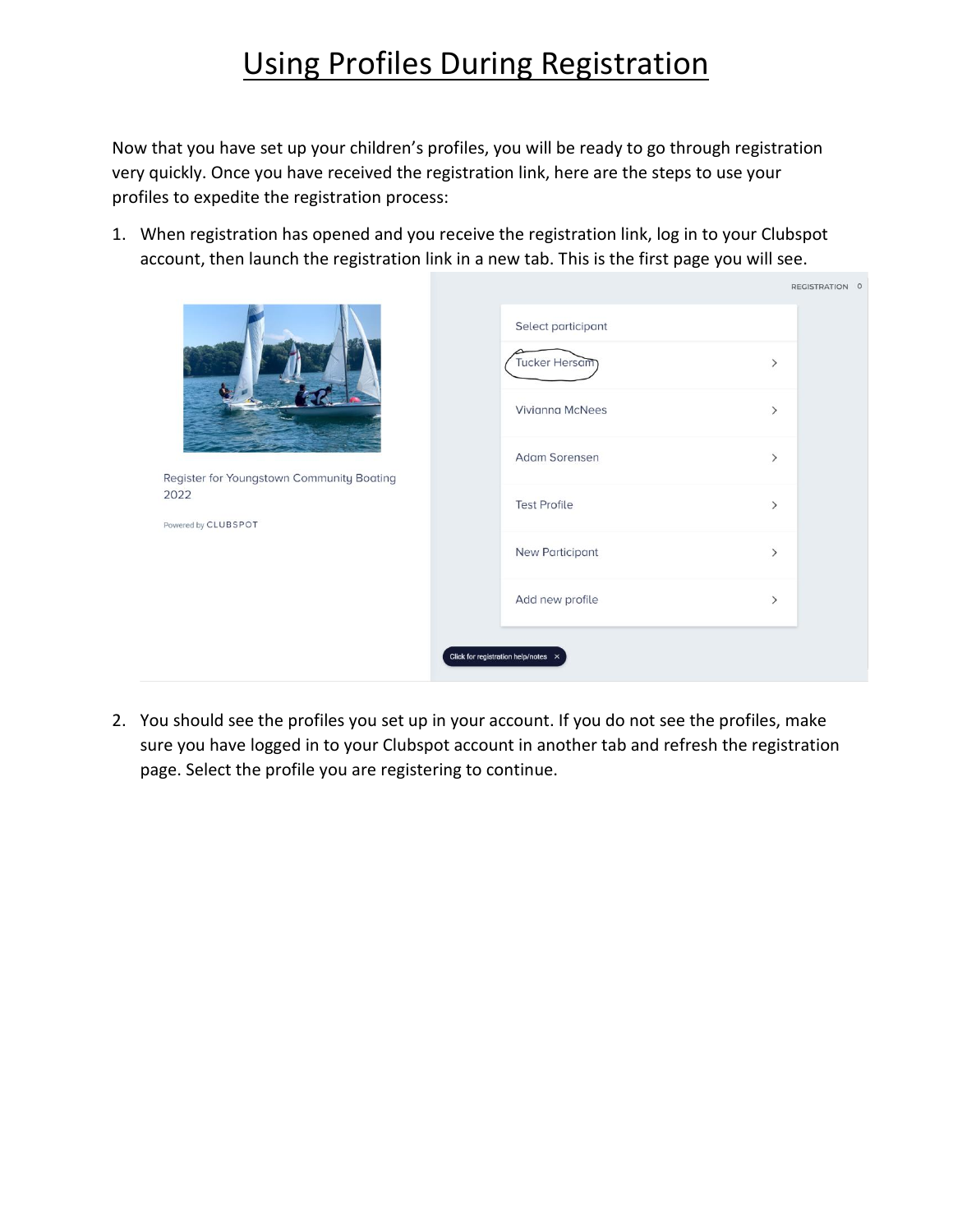## Using Profiles During Registration

Now that you have set up your children's profiles, you will be ready to go through registration very quickly. Once you have received the registration link, here are the steps to use your profiles to expedite the registration process:

1. When registration has opened and you receive the registration link, log in to your Clubspot account, then launch the registration link in a new tab. This is the first page you will see.

|                                                   |                                            |                              | REGISTRATION 0 |
|---------------------------------------------------|--------------------------------------------|------------------------------|----------------|
|                                                   | Select participant                         |                              |                |
|                                                   | Tucker Hersam                              | $\left\langle \right\rangle$ |                |
|                                                   | Vivianna McNees                            | $\left\langle \right\rangle$ |                |
|                                                   | Adam Sorensen                              | $\left\langle \right\rangle$ |                |
| Register for Youngstown Community Boating<br>2022 | <b>Test Profile</b>                        | $\left\langle \right\rangle$ |                |
| Powered by CLUBSPOT                               | New Participant                            | $\left\langle \right\rangle$ |                |
|                                                   |                                            |                              |                |
|                                                   | Add new profile                            | $\left\langle \right\rangle$ |                |
|                                                   | Click for registration help/notes $\times$ |                              |                |

2. You should see the profiles you set up in your account. If you do not see the profiles, make sure you have logged in to your Clubspot account in another tab and refresh the registration page. Select the profile you are registering to continue.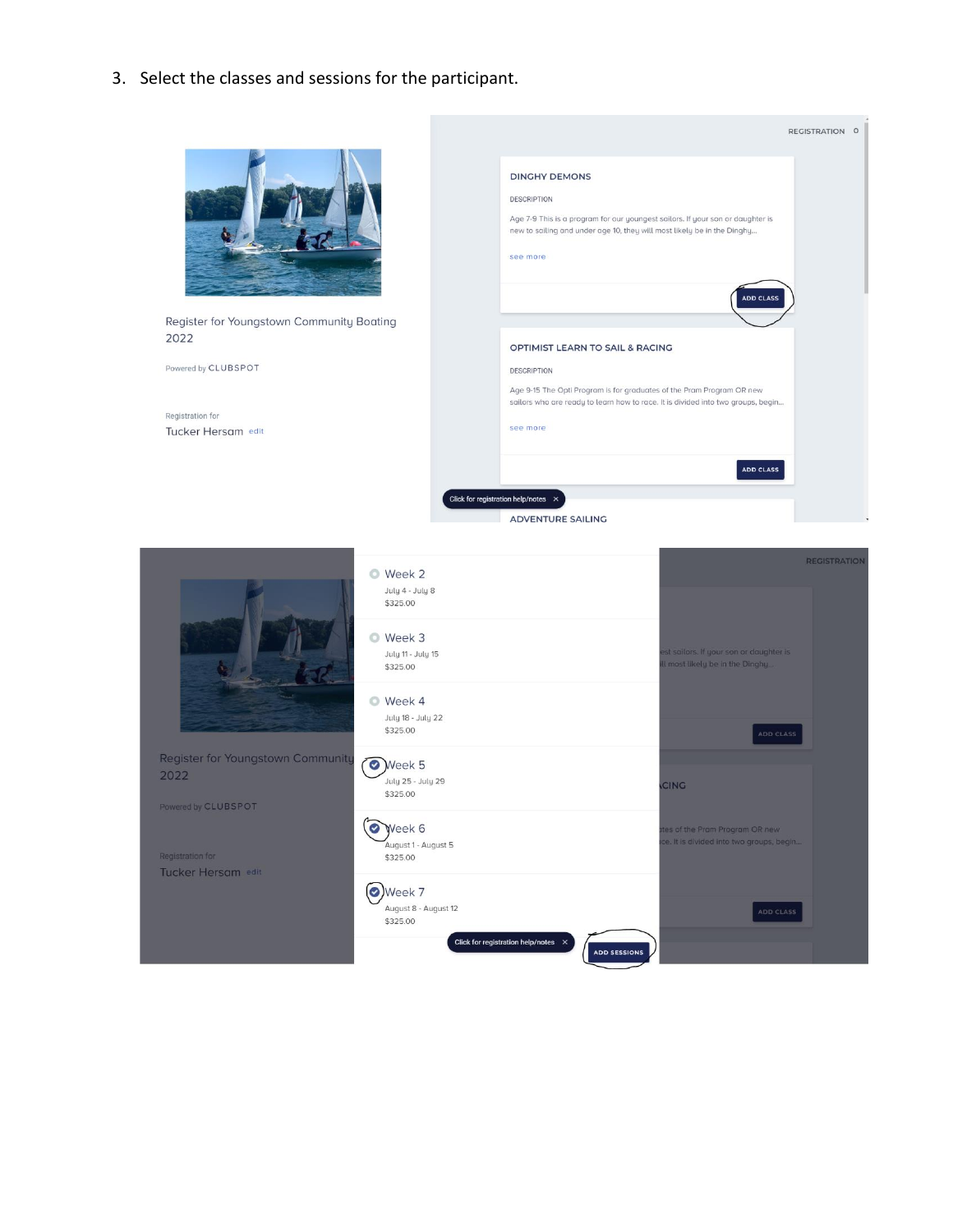3. Select the classes and sessions for the participant.

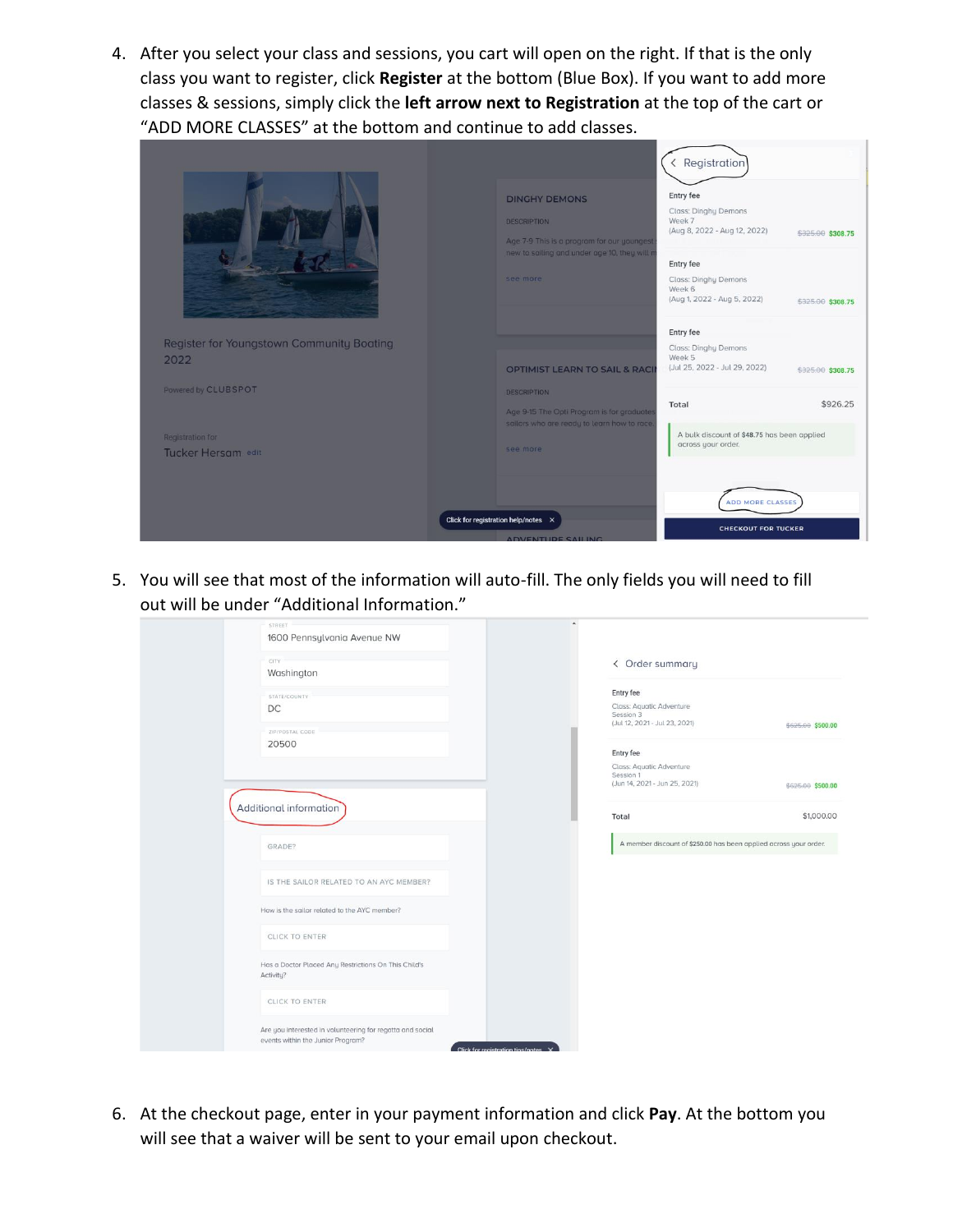4. After you select your class and sessions, you cart will open on the right. If that is the only class you want to register, click **Register** at the bottom (Blue Box). If you want to add more classes & sessions, simply click the **left arrow next to Registration** at the top of the cart or "ADD MORE CLASSES" at the bottom and continue to add classes.

|                                           | <b>DINGHY DEMONS</b><br><b>DESCRIPTION</b><br>Age 7-9 This is a program for our youngest<br>new to sailing and under age 10, they will n<br>see more | < Registration<br>Entry fee<br>Class: Dinghy Demons<br>Week 7<br>(Aug 8, 2022 - Aug 12, 2022)<br>Entry fee<br><b>Class: Dinghy Demons</b><br>Week 6<br>(Aug 1, 2022 - Aug 5, 2022) | \$325.00 \$308.75<br>\$325.00 \$308.75 |
|-------------------------------------------|------------------------------------------------------------------------------------------------------------------------------------------------------|------------------------------------------------------------------------------------------------------------------------------------------------------------------------------------|----------------------------------------|
|                                           |                                                                                                                                                      | Entry fee                                                                                                                                                                          |                                        |
| Register for Youngstown Community Boating |                                                                                                                                                      | Class: Dinghy Demons<br>Week 5                                                                                                                                                     |                                        |
| 2022                                      | <b>OPTIMIST LEARN TO SAIL &amp; RACI</b>                                                                                                             | (Jul 25, 2022 - Jul 29, 2022)                                                                                                                                                      | \$325.00 \$308.75                      |
| Powered by CLUBSPOT                       | <b>DESCRIPTION</b>                                                                                                                                   |                                                                                                                                                                                    |                                        |
|                                           |                                                                                                                                                      | Total                                                                                                                                                                              | \$926.25                               |
|                                           | Age 9-15 The Opti Program is for graduates<br>sailors who are ready to learn how to race.                                                            |                                                                                                                                                                                    |                                        |
| <b>Registration for</b>                   |                                                                                                                                                      | A bulk discount of \$48.75 has been applied                                                                                                                                        |                                        |
| Tucker Hersam edit                        | see more                                                                                                                                             | across your order.                                                                                                                                                                 |                                        |
|                                           | Click for registration help/notes X                                                                                                                  | ADD MORE CLASSES<br><b>CHECKOUT FOR TUCKER</b>                                                                                                                                     |                                        |

5. You will see that most of the information will auto-fill. The only fields you will need to fill out will be under "Additional Information."

| STREET<br>1600 Pennsylvania Avenue NW<br>CITY<br>Washington                                    | ٠<br>< Order summary                                                                |                   |
|------------------------------------------------------------------------------------------------|-------------------------------------------------------------------------------------|-------------------|
| STATE/COUNTY<br>DC.<br>ZIP/POSTAL CODE                                                         | Entry fee<br>Class: Aquatic Adventure<br>Session 3<br>(Jul 12, 2021 - Jul 23, 2021) | \$625.00 \$500.00 |
| 20500                                                                                          | Entry fee<br>Class: Aquatic Adventure<br>Session 1<br>(Jun 14, 2021 - Jun 25, 2021) | \$625.00 \$500.00 |
| Additional information                                                                         | Total                                                                               | \$1,000.00        |
| GRADE?                                                                                         | A member discount of \$250.00 has been applied across your order.                   |                   |
| IS THE SAILOR RELATED TO AN AYC MEMBER?                                                        |                                                                                     |                   |
| How is the sailor related to the AYC member?                                                   |                                                                                     |                   |
| <b>CLICK TO ENTER</b>                                                                          |                                                                                     |                   |
| Has a Doctor Placed Any Restrictions On This Child's<br>Activity?                              |                                                                                     |                   |
| CLICK TO ENTER                                                                                 |                                                                                     |                   |
| Are you interested in volunteering for regatta and social<br>events within the Junior Program? | Click for registration tine/notes Y                                                 |                   |

6. At the checkout page, enter in your payment information and click **Pay**. At the bottom you will see that a waiver will be sent to your email upon checkout.